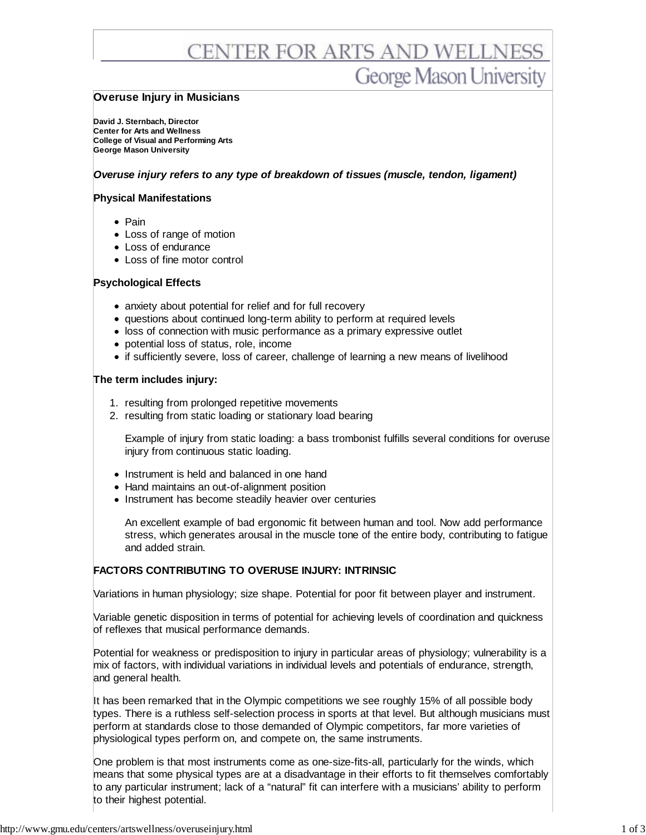# CENTER FOR ARTS AND WELLNESS **George Mason University**

## **Overuse Injury in Musicians**

**David J. Sternbach, Director Center for Arts and Wellness College of Visual and Performing Arts George Mason University**

## *Overuse injury refers to any type of breakdown of tissues (muscle, tendon, ligament)*

## **Physical Manifestations**

- Pain
- Loss of range of motion
- Loss of endurance
- Loss of fine motor control

#### **Psychological Effects**

- anxiety about potential for relief and for full recovery
- questions about continued long-term ability to perform at required levels
- loss of connection with music performance as a primary expressive outlet
- potential loss of status, role, income
- if sufficiently severe, loss of career, challenge of learning a new means of livelihood

#### **The term includes injury:**

- 1. resulting from prolonged repetitive movements
- 2. resulting from static loading or stationary load bearing

Example of injury from static loading: a bass trombonist fulfills several conditions for overuse injury from continuous static loading.

- Instrument is held and balanced in one hand
- Hand maintains an out-of-alignment position
- Instrument has become steadily heavier over centuries

An excellent example of bad ergonomic fit between human and tool. Now add performance stress, which generates arousal in the muscle tone of the entire body, contributing to fatigue and added strain.

## **FACTORS CONTRIBUTING TO OVERUSE INJURY: INTRINSIC**

Variations in human physiology; size shape. Potential for poor fit between player and instrument.

Variable genetic disposition in terms of potential for achieving levels of coordination and quickness of reflexes that musical performance demands.

Potential for weakness or predisposition to injury in particular areas of physiology; vulnerability is a mix of factors, with individual variations in individual levels and potentials of endurance, strength, and general health.

It has been remarked that in the Olympic competitions we see roughly 15% of all possible body types. There is a ruthless self-selection process in sports at that level. But although musicians must perform at standards close to those demanded of Olympic competitors, far more varieties of physiological types perform on, and compete on, the same instruments.

One problem is that most instruments come as one-size-fits-all, particularly for the winds, which means that some physical types are at a disadvantage in their efforts to fit themselves comfortably to any particular instrument; lack of a "natural" fit can interfere with a musicians' ability to perform to their highest potential.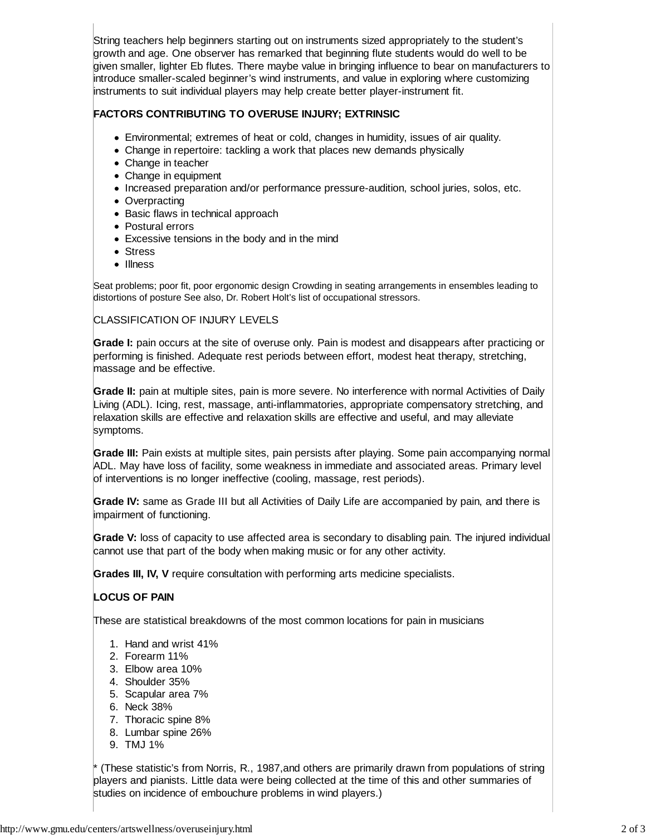String teachers help beginners starting out on instruments sized appropriately to the student's growth and age. One observer has remarked that beginning flute students would do well to be given smaller, lighter Eb flutes. There maybe value in bringing influence to bear on manufacturers to introduce smaller-scaled beginner's wind instruments, and value in exploring where customizing instruments to suit individual players may help create better player-instrument fit.

# **FACTORS CONTRIBUTING TO OVERUSE INJURY; EXTRINSIC**

- Environmental; extremes of heat or cold, changes in humidity, issues of air quality.
- Change in repertoire: tackling a work that places new demands physically
- Change in teacher
- Change in equipment
- Increased preparation and/or performance pressure-audition, school juries, solos, etc.
- Overpracting
- Basic flaws in technical approach
- Postural errors
- Excessive tensions in the body and in the mind
- Stress
- Illness

Seat problems; poor fit, poor ergonomic design Crowding in seating arrangements in ensembles leading to distortions of posture See also, Dr. Robert Holt's list of occupational stressors.

## CLASSIFICATION OF INJURY LEVELS

**Grade I:** pain occurs at the site of overuse only. Pain is modest and disappears after practicing or performing is finished. Adequate rest periods between effort, modest heat therapy, stretching, massage and be effective.

**Grade II:** pain at multiple sites, pain is more severe. No interference with normal Activities of Daily Living (ADL). Icing, rest, massage, anti-inflammatories, appropriate compensatory stretching, and relaxation skills are effective and relaxation skills are effective and useful, and may alleviate symptoms.

**Grade III:** Pain exists at multiple sites, pain persists after playing. Some pain accompanying normal ADL. May have loss of facility, some weakness in immediate and associated areas. Primary level of interventions is no longer ineffective (cooling, massage, rest periods).

**Grade IV:** same as Grade III but all Activities of Daily Life are accompanied by pain, and there is impairment of functioning.

**Grade V:** loss of capacity to use affected area is secondary to disabling pain. The injured individual cannot use that part of the body when making music or for any other activity.

**Grades III, IV, V** require consultation with performing arts medicine specialists.

# **LOCUS OF PAIN**

These are statistical breakdowns of the most common locations for pain in musicians

- 1. Hand and wrist 41%
- 2. Forearm 11%
- 3. Elbow area 10%
- 4. Shoulder 35%
- 5. Scapular area 7%
- 6. Neck 38%
- 7. Thoracic spine 8%
- 8. Lumbar spine 26%
- 9. TMJ 1%

(These statistic's from Norris, R., 1987, and others are primarily drawn from populations of string players and pianists. Little data were being collected at the time of this and other summaries of studies on incidence of embouchure problems in wind players.)